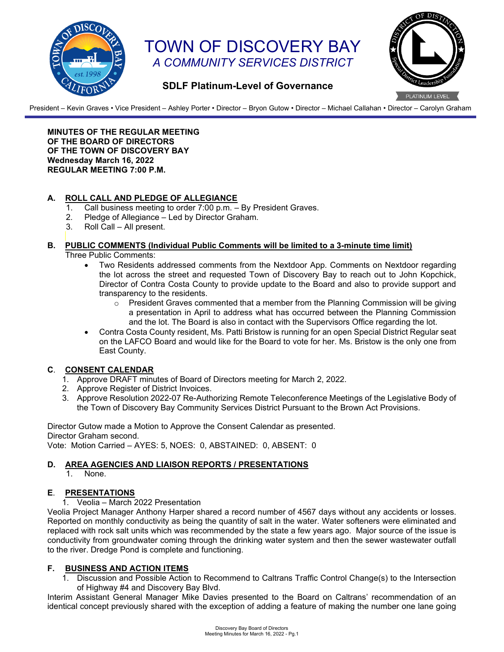

# TOWN OF DISCOVERY BAY *A COMMUNITY SERVICES DISTRICT*



### **SDLF Platinum-Level of Governance**

President – Kevin Graves • Vice President – Ashley Porter • Director – Bryon Gutow • Director – Michael Callahan • Director – Carolyn Graham

**MINUTES OF THE REGULAR MEETING OF THE BOARD OF DIRECTORS OF THE TOWN OF DISCOVERY BAY Wednesday March 16, 2022 REGULAR MEETING 7:00 P.M.** 

#### **A. ROLL CALL AND PLEDGE OF ALLEGIANCE**

- 1. Call business meeting to order 7:00 p.m. By President Graves.<br>2. Pledge of Allegiance Led by Director Graham.
- Pledge of Allegiance Led by Director Graham.
- 3. Roll Call All present.

#### **B. PUBLIC COMMENTS (Individual Public Comments will be limited to a 3-minute time limit)**

- Three Public Comments:
	- Two Residents addressed comments from the Nextdoor App. Comments on Nextdoor regarding the lot across the street and requested Town of Discovery Bay to reach out to John Kopchick, Director of Contra Costa County to provide update to the Board and also to provide support and transparency to the residents.
		- $\circ$  President Graves commented that a member from the Planning Commission will be giving a presentation in April to address what has occurred between the Planning Commission and the lot. The Board is also in contact with the Supervisors Office regarding the lot.
	- Contra Costa County resident, Ms. Patti Bristow is running for an open Special District Regular seat on the LAFCO Board and would like for the Board to vote for her. Ms. Bristow is the only one from East County.

#### **C**. **CONSENT CALENDAR**

- 1. Approve DRAFT minutes of Board of Directors meeting for March 2, 2022.
- 2. Approve Register of District Invoices.
- 3. Approve Resolution 2022-07 Re-Authorizing Remote Teleconference Meetings of the Legislative Body of the Town of Discovery Bay Community Services District Pursuant to the Brown Act Provisions.

Director Gutow made a Motion to Approve the Consent Calendar as presented. Director Graham second. Vote: Motion Carried – AYES: 5, NOES: 0, ABSTAINED: 0, ABSENT: 0

#### **D. AREA AGENCIES AND LIAISON REPORTS / PRESENTATIONS**

1. None.

#### **E**. **PRESENTATIONS**

1. Veolia – March 2022 Presentation

Veolia Project Manager Anthony Harper shared a record number of 4567 days without any accidents or losses. Reported on monthly conductivity as being the quantity of salt in the water. Water softeners were eliminated and replaced with rock salt units which was recommended by the state a few years ago. Major source of the issue is conductivity from groundwater coming through the drinking water system and then the sewer wastewater outfall to the river. Dredge Pond is complete and functioning.

#### **F. BUSINESS AND ACTION ITEMS**

1. Discussion and Possible Action to Recommend to Caltrans Traffic Control Change(s) to the Intersection of Highway #4 and Discovery Bay Blvd.

Interim Assistant General Manager Mike Davies presented to the Board on Caltrans' recommendation of an identical concept previously shared with the exception of adding a feature of making the number one lane going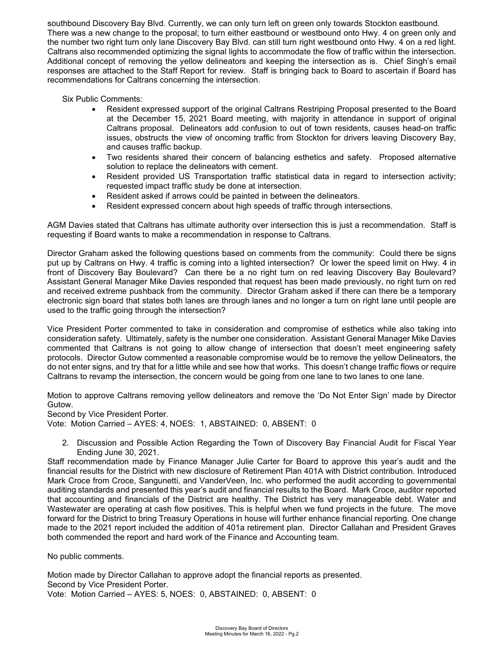southbound Discovery Bay Blvd. Currently, we can only turn left on green only towards Stockton eastbound. There was a new change to the proposal; to turn either eastbound or westbound onto Hwy. 4 on green only and the number two right turn only lane Discovery Bay Blvd. can still turn right westbound onto Hwy. 4 on a red light. Caltrans also recommended optimizing the signal lights to accommodate the flow of traffic within the intersection. Additional concept of removing the yellow delineators and keeping the intersection as is. Chief Singh's email responses are attached to the Staff Report for review. Staff is bringing back to Board to ascertain if Board has recommendations for Caltrans concerning the intersection.

Six Public Comments:

- Resident expressed support of the original Caltrans Restriping Proposal presented to the Board at the December 15, 2021 Board meeting, with majority in attendance in support of original Caltrans proposal. Delineators add confusion to out of town residents, causes head-on traffic issues, obstructs the view of oncoming traffic from Stockton for drivers leaving Discovery Bay, and causes traffic backup.
- Two residents shared their concern of balancing esthetics and safety. Proposed alternative solution to replace the delineators with cement.
- Resident provided US Transportation traffic statistical data in regard to intersection activity; requested impact traffic study be done at intersection.
- Resident asked if arrows could be painted in between the delineators.
- Resident expressed concern about high speeds of traffic through intersections.

AGM Davies stated that Caltrans has ultimate authority over intersection this is just a recommendation. Staff is requesting if Board wants to make a recommendation in response to Caltrans.

Director Graham asked the following questions based on comments from the community: Could there be signs put up by Caltrans on Hwy. 4 traffic is coming into a lighted intersection? Or lower the speed limit on Hwy. 4 in front of Discovery Bay Boulevard? Can there be a no right turn on red leaving Discovery Bay Boulevard? Assistant General Manager Mike Davies responded that request has been made previously, no right turn on red and received extreme pushback from the community. Director Graham asked if there can there be a temporary electronic sign board that states both lanes are through lanes and no longer a turn on right lane until people are used to the traffic going through the intersection?

Vice President Porter commented to take in consideration and compromise of esthetics while also taking into consideration safety. Ultimately, safety is the number one consideration. Assistant General Manager Mike Davies commented that Caltrans is not going to allow change of intersection that doesn't meet engineering safety protocols. Director Gutow commented a reasonable compromise would be to remove the yellow Delineators, the do not enter signs, and try that for a little while and see how that works. This doesn't change traffic flows or require Caltrans to revamp the intersection, the concern would be going from one lane to two lanes to one lane.

Motion to approve Caltrans removing yellow delineators and remove the 'Do Not Enter Sign' made by Director Gutow.

Second by Vice President Porter.

Vote: Motion Carried – AYES: 4, NOES: 1, ABSTAINED: 0, ABSENT: 0

2. Discussion and Possible Action Regarding the Town of Discovery Bay Financial Audit for Fiscal Year Ending June 30, 2021.

Staff recommendation made by Finance Manager Julie Carter for Board to approve this year's audit and the financial results for the District with new disclosure of Retirement Plan 401A with District contribution. Introduced Mark Croce from Croce, Sangunetti, and VanderVeen, Inc. who performed the audit according to governmental auditing standards and presented this year's audit and financial results to the Board. Mark Croce, auditor reported that accounting and financials of the District are healthy. The District has very manageable debt. Water and Wastewater are operating at cash flow positives. This is helpful when we fund projects in the future. The move forward for the District to bring Treasury Operations in house will further enhance financial reporting. One change made to the 2021 report included the addition of 401a retirement plan. Director Callahan and President Graves both commended the report and hard work of the Finance and Accounting team.

No public comments.

Motion made by Director Callahan to approve adopt the financial reports as presented. Second by Vice President Porter. Vote: Motion Carried – AYES: 5, NOES: 0, ABSTAINED: 0, ABSENT: 0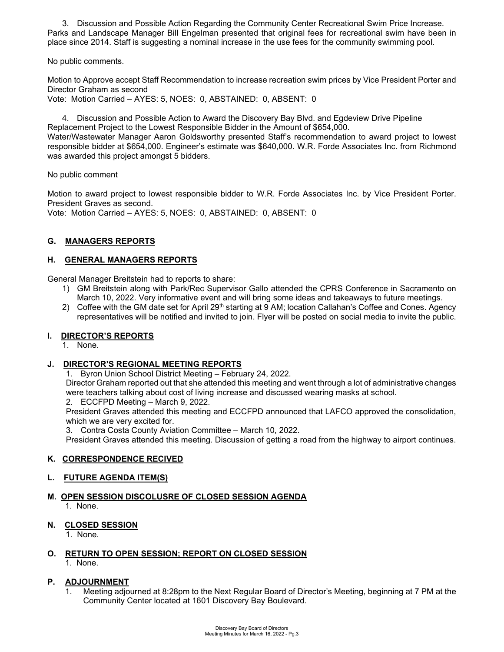3. Discussion and Possible Action Regarding the Community Center Recreational Swim Price Increase. Parks and Landscape Manager Bill Engelman presented that original fees for recreational swim have been in place since 2014. Staff is suggesting a nominal increase in the use fees for the community swimming pool.

No public comments.

Motion to Approve accept Staff Recommendation to increase recreation swim prices by Vice President Porter and Director Graham as second

Vote: Motion Carried – AYES: 5, NOES: 0, ABSTAINED: 0, ABSENT: 0

4. Discussion and Possible Action to Award the Discovery Bay Blvd. and Egdeview Drive Pipeline Replacement Project to the Lowest Responsible Bidder in the Amount of \$654,000. Water/Wastewater Manager Aaron Goldsworthy presented Staff's recommendation to award project to lowest responsible bidder at \$654,000. Engineer's estimate was \$640,000. W.R. Forde Associates Inc. from Richmond was awarded this project amongst 5 bidders.

No public comment

Motion to award project to lowest responsible bidder to W.R. Forde Associates Inc. by Vice President Porter. President Graves as second. Vote: Motion Carried – AYES: 5, NOES: 0, ABSTAINED: 0, ABSENT: 0

#### **G. MANAGERS REPORTS**

#### **H. GENERAL MANAGERS REPORTS**

General Manager Breitstein had to reports to share:

- 1) GM Breitstein along with Park/Rec Supervisor Gallo attended the CPRS Conference in Sacramento on March 10, 2022. Very informative event and will bring some ideas and takeaways to future meetings.
- 2) Coffee with the GM date set for April 29<sup>th</sup> starting at 9 AM; location Callahan's Coffee and Cones. Agency representatives will be notified and invited to join. Flyer will be posted on social media to invite the public.

#### **I. DIRECTOR'S REPORTS**

1. None.

#### **J. DIRECTOR'S REGIONAL MEETING REPORTS**

1. Byron Union School District Meeting – February 24, 2022.

Director Graham reported out that she attended this meeting and went through a lot of administrative changes were teachers talking about cost of living increase and discussed wearing masks at school.

2. ECCFPD Meeting – March 9, 2022.

President Graves attended this meeting and ECCFPD announced that LAFCO approved the consolidation, which we are very excited for.

3. Contra Costa County Aviation Committee – March 10, 2022.

President Graves attended this meeting. Discussion of getting a road from the highway to airport continues.

#### **K. CORRESPONDENCE RECIVED**

#### **L. FUTURE AGENDA ITEM(S)**

## **M. OPEN SESSION DISCOLUSRE OF CLOSED SESSION AGENDA**

1. None.

#### **N. CLOSED SESSION**

1. None.

#### **O. RETURN TO OPEN SESSION; REPORT ON CLOSED SESSION** 1. None.

#### **P. ADJOURNMENT**

1. Meeting adjourned at 8:28pm to the Next Regular Board of Director's Meeting, beginning at 7 PM at the Community Center located at 1601 Discovery Bay Boulevard.